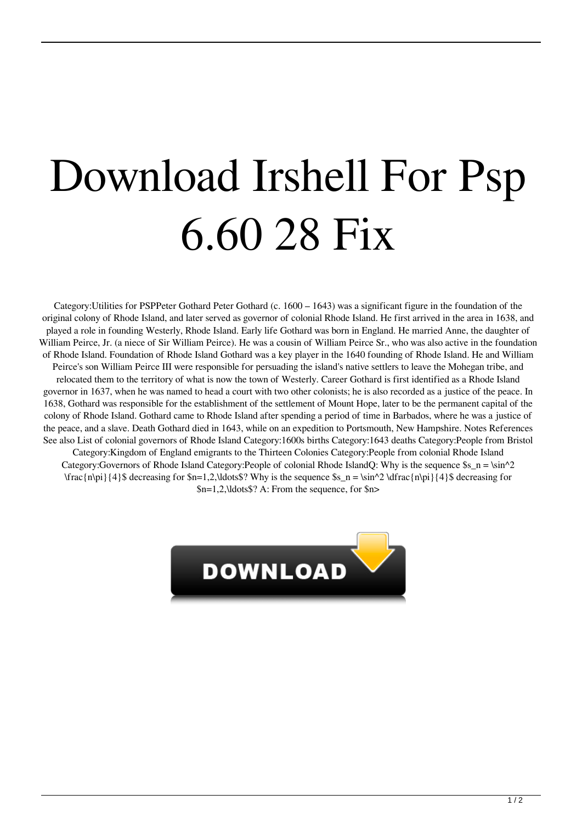## Download Irshell For Psp 6.60 28 Fix

Category:Utilities for PSPPeter Gothard Peter Gothard (c. 1600 – 1643) was a significant figure in the foundation of the original colony of Rhode Island, and later served as governor of colonial Rhode Island. He first arrived in the area in 1638, and played a role in founding Westerly, Rhode Island. Early life Gothard was born in England. He married Anne, the daughter of William Peirce, Jr. (a niece of Sir William Peirce). He was a cousin of William Peirce Sr., who was also active in the foundation of Rhode Island. Foundation of Rhode Island Gothard was a key player in the 1640 founding of Rhode Island. He and William Peirce's son William Peirce III were responsible for persuading the island's native settlers to leave the Mohegan tribe, and relocated them to the territory of what is now the town of Westerly. Career Gothard is first identified as a Rhode Island governor in 1637, when he was named to head a court with two other colonists; he is also recorded as a justice of the peace. In 1638, Gothard was responsible for the establishment of the settlement of Mount Hope, later to be the permanent capital of the colony of Rhode Island. Gothard came to Rhode Island after spending a period of time in Barbados, where he was a justice of the peace, and a slave. Death Gothard died in 1643, while on an expedition to Portsmouth, New Hampshire. Notes References See also List of colonial governors of Rhode Island Category:1600s births Category:1643 deaths Category:People from Bristol Category:Kingdom of England emigrants to the Thirteen Colonies Category:People from colonial Rhode Island Category:Governors of Rhode Island Category:People of colonial Rhode IslandQ: Why is the sequence  $\s_{s_n} = \sin^2 2$ 

 $\frac{n\pi}{4}$  decreasing for  $n=1,2,\ldots$  Why is the sequence  $\sin n = \sin^2 2 \frac{n\pi}{4}$  decreasing for

\$n=1,2,\ldots\$? A: From the sequence, for \$n>